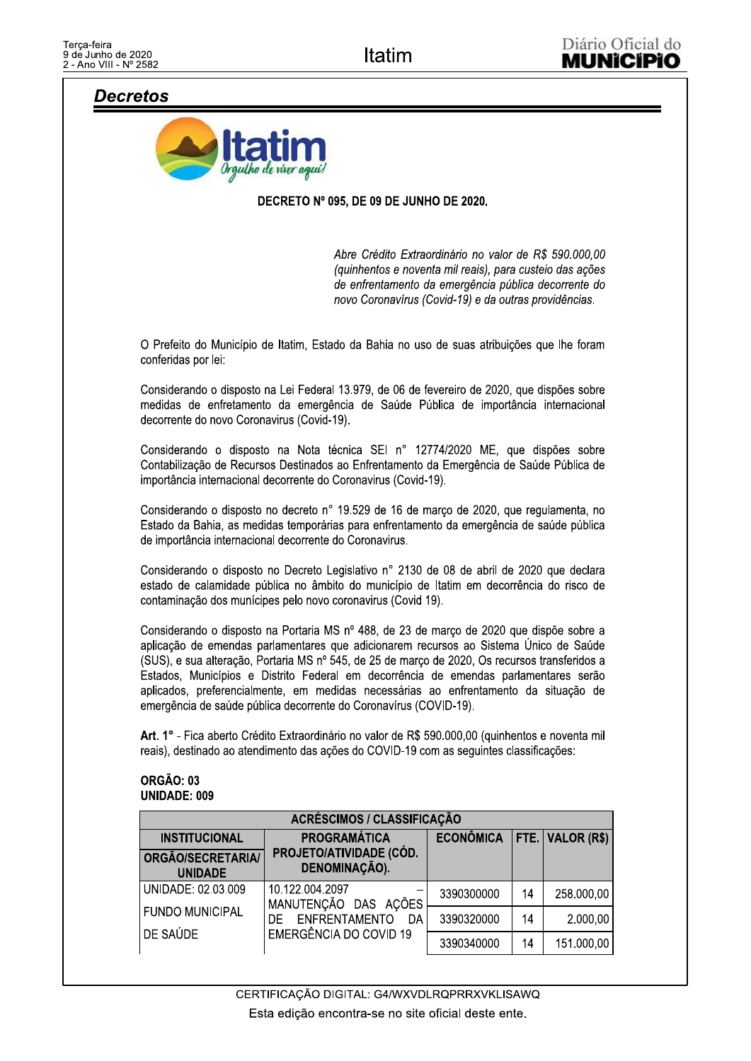# **Decretos**



## DECRETO Nº 095, DE 09 DE JUNHO DE 2020.

Abre Crédito Extraordinário no valor de R\$ 590.000,00 (quinhentos e noventa mil reais), para custeio das ações de enfrentamento da emergência pública decorrente do novo Coronavírus (Covid-19) e da outras providências.

O Prefeito do Município de Itatim, Estado da Bahia no uso de suas atribuições que lhe foram conferidas por lei:

Considerando o disposto na Lei Federal 13.979, de 06 de fevereiro de 2020, que dispões sobre medidas de enfretamento da emergência de Saúde Pública de importância internacional decorrente do novo Coronavirus (Covid-19).

Considerando o disposto na Nota técnica SEI nº 12774/2020 ME, que dispões sobre Contabilização de Recursos Destinados ao Enfrentamento da Emergência de Saúde Pública de importância internacional decorrente do Coronavirus (Covid-19).

Considerando o disposto no decreto nº 19.529 de 16 de março de 2020, que regulamenta, no Estado da Bahia, as medidas temporárias para enfrentamento da emergência de saúde pública de importância internacional decorrente do Coronavirus.

Considerando o disposto no Decreto Legislativo nº 2130 de 08 de abril de 2020 que declara estado de calamidade pública no âmbito do município de Itatim em decorrência do risco de contaminação dos munícipes pelo novo coronavirus (Covid 19).

Considerando o disposto na Portaria MS nº 488, de 23 de março de 2020 que dispõe sobre a aplicação de emendas parlamentares que adicionarem recursos ao Sistema Único de Saúde (SUS), e sua alteração, Portaria MS nº 545, de 25 de março de 2020, Os recursos transferidos a Estados. Municípios e Distrito Federal em decorrência de emendas parlamentares serão aplicados, preferencialmente, em medidas necessárias ao enfrentamento da situação de emergência de saúde pública decorrente do Coronavírus (COVID-19).

Art. 1° - Fica aberto Crédito Extraordinário no valor de R\$ 590.000,00 (quinhentos e noventa mil reais), destinado ao atendimento das ações do COVID-19 com as seguintes classificações:

## ORGÃO: 03 **UNIDADE: 009**

| ACRÉSCIMOS / CLASSIFICAÇÃO          |                                          |                                |    |            |
|-------------------------------------|------------------------------------------|--------------------------------|----|------------|
| <b>INSTITUCIONAL</b>                | <b>PROGRAMÁTICA</b>                      | ECONÔMICA   FTE.   VALOR (R\$) |    |            |
| ORGÃO/SECRETARIA/<br><b>UNIDADE</b> | PROJETO/ATIVIDADE (CÓD.<br>DENOMINAÇÃO). |                                |    |            |
| UNIDADE: 02.03.009                  | 10.122.004.2097<br>MANUTENÇÃO DAS AÇÕES  | 3390300000                     | 14 | 258.000,00 |
| <b>FUNDO MUNICIPAL</b>              | ENFRENTAMENTO<br>DF.<br>DA               | 3390320000                     | 14 | 2.000,00   |
| DE SAÚDE                            | EMERGÊNCIA DO COVID 19                   | 3390340000                     | 14 | 151.000,00 |